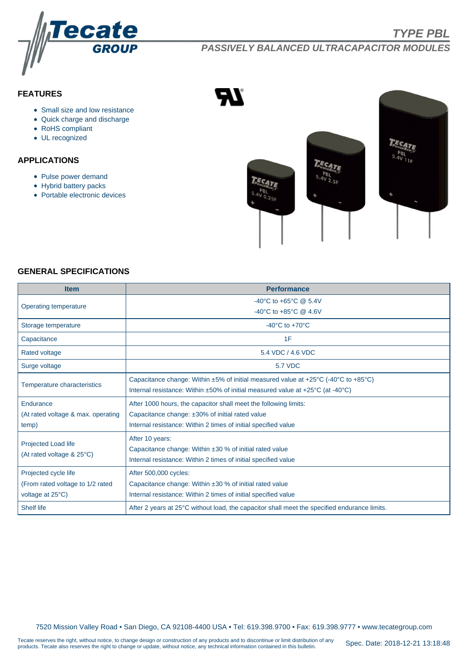

# **PASSIVELY BALANCED ULTRACAPACITOR MODULES**

# **FEATURES**

- Small size and low resistance
- Quick charge and discharge
- RoHS compliant
- UL recognized

# **APPLICATIONS**

- Pulse power demand
- Hybrid battery packs
- Portable electronic devices



#### **GENERAL SPECIFICATIONS**

| <b>Item</b>                                                                                 | <b>Performance</b>                                                                                                     |  |  |  |  |  |  |  |
|---------------------------------------------------------------------------------------------|------------------------------------------------------------------------------------------------------------------------|--|--|--|--|--|--|--|
| Operating temperature                                                                       | -40°C to +65°C @ 5.4V                                                                                                  |  |  |  |  |  |  |  |
|                                                                                             | -40°C to +85°C @ 4.6V                                                                                                  |  |  |  |  |  |  |  |
| Storage temperature                                                                         | $-40^{\circ}$ C to $+70^{\circ}$ C                                                                                     |  |  |  |  |  |  |  |
| Capacitance                                                                                 | 1F                                                                                                                     |  |  |  |  |  |  |  |
| <b>Rated voltage</b>                                                                        | 5.4 VDC / 4.6 VDC                                                                                                      |  |  |  |  |  |  |  |
| Surge voltage                                                                               | <b>5.7 VDC</b>                                                                                                         |  |  |  |  |  |  |  |
| Temperature characteristics                                                                 | Capacitance change: Within $\pm 5\%$ of initial measured value at +25 $\degree$ C (-40 $\degree$ C to +85 $\degree$ C) |  |  |  |  |  |  |  |
|                                                                                             | Internal resistance: Within $\pm 50\%$ of initial measured value at $+25\degree C$ (at -40 $\degree C$ )               |  |  |  |  |  |  |  |
| Endurance                                                                                   | After 1000 hours, the capacitor shall meet the following limits:                                                       |  |  |  |  |  |  |  |
| (At rated voltage & max. operating<br>Capacitance change: ±30% of initial rated value       |                                                                                                                        |  |  |  |  |  |  |  |
| temp)                                                                                       | Internal resistance: Within 2 times of initial specified value                                                         |  |  |  |  |  |  |  |
| Projected Load life<br>(At rated voltage & 25°C)                                            | After 10 years:                                                                                                        |  |  |  |  |  |  |  |
|                                                                                             | Capacitance change: Within ±30 % of initial rated value                                                                |  |  |  |  |  |  |  |
|                                                                                             | Internal resistance: Within 2 times of initial specified value                                                         |  |  |  |  |  |  |  |
| Projected cycle life                                                                        | After 500,000 cycles:                                                                                                  |  |  |  |  |  |  |  |
| (From rated voltage to 1/2 rated<br>Capacitance change: Within ±30 % of initial rated value |                                                                                                                        |  |  |  |  |  |  |  |
| voltage at 25°C)                                                                            | Internal resistance: Within 2 times of initial specified value                                                         |  |  |  |  |  |  |  |
| <b>Shelf life</b>                                                                           | After 2 years at 25°C without load, the capacitor shall meet the specified endurance limits.                           |  |  |  |  |  |  |  |